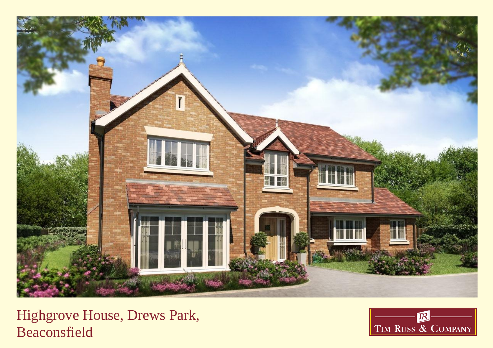

Highgrove House, Drews Park, Beaconsfield

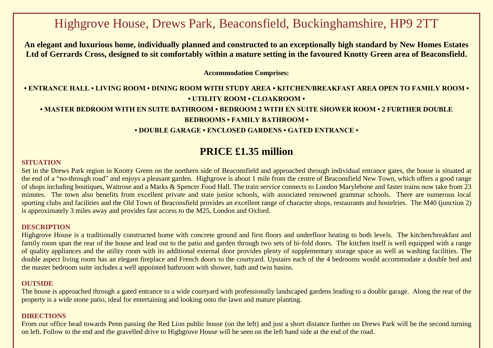# Highgrove House, Drews Park, Beaconsfield, Buckinghamshire, HP9 2TT

**An elegant and luxurious home, individually planned and constructed to an exceptionally high standard by New Homes Estates Ltd of Gerrards Cross, designed to sit comfortably within a mature setting in the favoured Knotty Green area of Beaconsfield.**

**Accommodation Comprises:**

**• ENTRANCE HALL • LIVING ROOM • DINING ROOM WITH STUDY AREA • KITCHEN/BREAKFAST AREA OPEN TO FAMILY ROOM • • UTILITY ROOM • CLOAKROOM • • MASTER BEDROOM WITH EN SUITE BATHROOM • BEDROOM 2 WITH EN SUITE SHOWER ROOM • 2 FURTHER DOUBLE BEDROOMS • FAMILY BATHROOM • • DOUBLE GARAGE • ENCLOSED GARDENS • GATED ENTRANCE •**

## **PRICE £1.35 million**

#### **SITUATION**

Set in the Drews Park region in Knotty Green on the northern side of Beaconsfield and approached through individual entrance gates, the house is situated at the end of a "no-through road" and enjoys a pleasant garden. Highgrove is about 1 mile from the centre of Beaconsfield New Town, which offers a good range of shops including boutiques, Waitrose and a Marks & Spencer Food Hall. The train service connects to London Marylebone and faster trains now take from 23 minutes. The town also benefits from excellent private and state junior schools, with associated renowned grammar schools. There are numerous local sporting clubs and facilities and the Old Town of Beaconsfield provides an excellent range of character shops, restaurants and hostelries. The M40 (junction 2) is approximately 3 miles away and provides fast access to the M25, London and Oxford.

#### **DESCRIPTION**

Highgrove House is a traditionally constructed home with concrete ground and first floors and underfloor heating to both levels. The kitchen/breakfast and family room span the rear of the house and lead out to the patio and garden through two sets of bi-fold doors. The kitchen itself is well equipped with a range of quality appliances and the utility room with its additional external door provides plenty of supplementary storage space as well as washing facilities. The double aspect living room has an elegant fireplace and French doors to the courtyard. Upstairs each of the 4 bedrooms would accommodate a double bed and the master bedroom suite includes a well appointed bathroom with shower, bath and twin basins.

#### **OUTSIDE**

The house is approached through a gated entrance to a wide courtyard with professionally landscaped gardens leading to a double garage. Along the rear of the property is a wide stone patio, ideal for entertaining and looking onto the lawn and mature planting.

#### **DIRECTIONS**

From our office head towards Penn passing the Red Lion public house (on the left) and just a short distance further on Drews Park will be the second turning on left. Follow to the end and the gravelled drive to Highgrove House will be seen on the left hand side at the end of the road.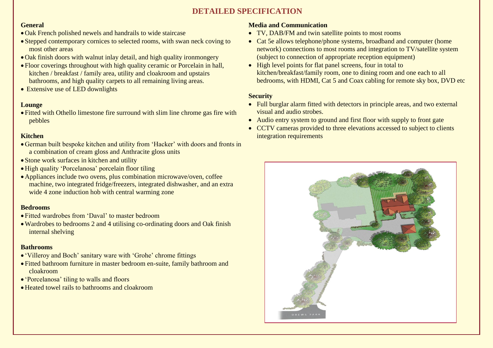### **DETAILED SPECIFICATION**

#### **General**

- Oak French polished newels and handrails to wide staircase
- Stepped contemporary cornices to selected rooms, with swan neck coving to most other areas
- Oak finish doors with walnut inlay detail, and high quality ironmongery
- Floor coverings throughout with high quality ceramic or Porcelain in hall, kitchen / breakfast / family area, utility and cloakroom and upstairs bathrooms, and high quality carpets to all remaining living areas.
- Extensive use of LED downlights

#### **Lounge**

 Fitted with Othello limestone fire surround with slim line chrome gas fire with pebbles

#### **Kitchen**

- German built bespoke kitchen and utility from 'Hacker' with doors and fronts in a combination of cream gloss and Anthracite gloss units
- Stone work surfaces in kitchen and utility
- High quality 'Porcelanosa' porcelain floor tiling
- Appliances include two ovens, plus combination microwave/oven, coffee machine, two integrated fridge/freezers, integrated dishwasher, and an extra wide 4 zone induction hob with central warming zone

#### **Bedrooms**

- Fitted wardrobes from 'Daval' to master bedroom
- Wardrobes to bedrooms 2 and 4 utilising co-ordinating doors and Oak finish internal shelving

#### **Bathrooms**

- 'Villeroy and Boch' sanitary ware with 'Grohe' chrome fittings
- Fitted bathroom furniture in master bedroom en-suite, family bathroom and cloakroom
- 'Porcelanosa' tiling to walls and floors
- Heated towel rails to bathrooms and cloakroom

#### **Media and Communication**

- TV, DAB/FM and twin satellite points to most rooms
- Cat 5e allows telephone/phone systems, broadband and computer (home network) connections to most rooms and integration to TV/satellite system (subject to connection of appropriate reception equipment)
- High level points for flat panel screens, four in total to kitchen/breakfast/family room, one to dining room and one each to all bedrooms, with HDMI, Cat 5 and Coax cabling for remote sky box, DVD etc

#### **Security**

- Full burglar alarm fitted with detectors in principle areas, and two external visual and audio strobes.
- Audio entry system to ground and first floor with supply to front gate
- CCTV cameras provided to three elevations accessed to subject to clients integration requirements